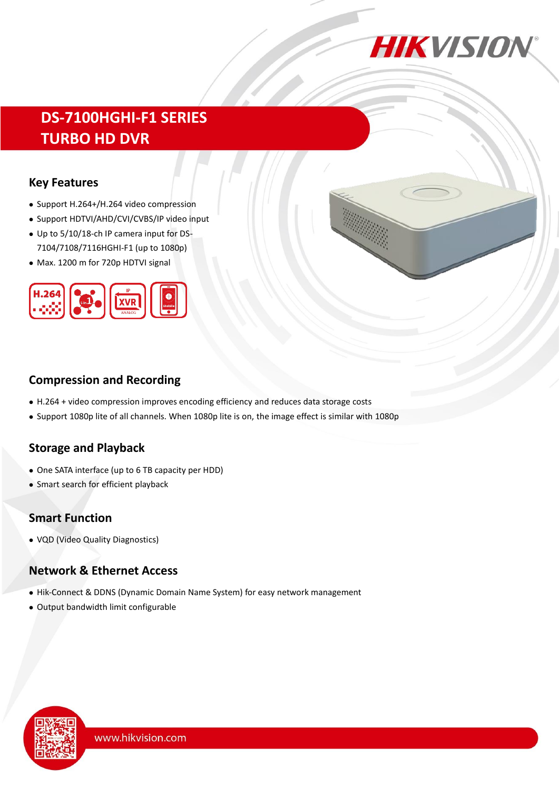

# **DS-7100HGHI-F1 SERIES TURBO HD DVR**

#### **Key Features**

- Support H.264+/H.264 video compression
- Support HDTVI/AHD/CVI/CVBS/IP video input
- Up to 5/10/18-ch IP camera input for DS-7104/7108/7116HGHI-F1 (up to 1080p)
- Max. 1200 m for 720p HDTVI signal



# **Compression and Recording**

- H.264 + video compression improves encoding efficiency and reduces data storage costs
- Support 1080p lite of all channels. When 1080p lite is on, the image effect is similar with 1080p

# **Storage and Playback**

- One SATA interface (up to 6 TB capacity per HDD)
- Smart search for efficient playback

# **Smart Function**

VQD (Video Quality Diagnostics)

# **Network & Ethernet Access**

- Hik-Connect & DDNS (Dynamic Domain Name System) for easy network management
- Output bandwidth limit configurable

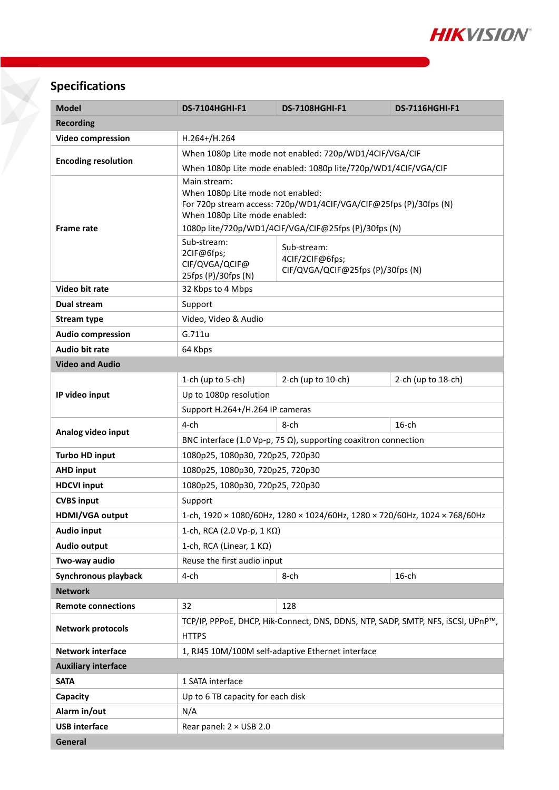

# **Specifications**

| <b>Model</b>               | <b>DS-7104HGHI-F1</b>                                                                                                                                   | <b>DS-7108HGHI-F1</b>                                               | <b>DS-7116HGHI-F1</b> |  |  |
|----------------------------|---------------------------------------------------------------------------------------------------------------------------------------------------------|---------------------------------------------------------------------|-----------------------|--|--|
| <b>Recording</b>           |                                                                                                                                                         |                                                                     |                       |  |  |
| <b>Video compression</b>   | H.264+/H.264                                                                                                                                            |                                                                     |                       |  |  |
| <b>Encoding resolution</b> | When 1080p Lite mode not enabled: 720p/WD1/4CIF/VGA/CIF                                                                                                 |                                                                     |                       |  |  |
|                            | When 1080p Lite mode enabled: 1080p lite/720p/WD1/4CIF/VGA/CIF                                                                                          |                                                                     |                       |  |  |
| <b>Frame rate</b>          | Main stream:<br>When 1080p Lite mode not enabled:<br>For 720p stream access: 720p/WD1/4CIF/VGA/CIF@25fps (P)/30fps (N)<br>When 1080p Lite mode enabled: |                                                                     |                       |  |  |
|                            | 1080p lite/720p/WD1/4CIF/VGA/CIF@25fps (P)/30fps (N)<br>Sub-stream:                                                                                     |                                                                     |                       |  |  |
|                            | 2CIF@6fps;<br>CIF/QVGA/QCIF@<br>25fps (P)/30fps (N)                                                                                                     | Sub-stream:<br>4CIF/2CIF@6fps;<br>CIF/QVGA/QCIF@25fps (P)/30fps (N) |                       |  |  |
| Video bit rate             | 32 Kbps to 4 Mbps                                                                                                                                       |                                                                     |                       |  |  |
| <b>Dual stream</b>         | Support                                                                                                                                                 |                                                                     |                       |  |  |
| <b>Stream type</b>         | Video, Video & Audio                                                                                                                                    |                                                                     |                       |  |  |
| <b>Audio compression</b>   | G.711u                                                                                                                                                  |                                                                     |                       |  |  |
| <b>Audio bit rate</b>      | 64 Kbps                                                                                                                                                 |                                                                     |                       |  |  |
| <b>Video and Audio</b>     |                                                                                                                                                         |                                                                     |                       |  |  |
|                            | 1-ch (up to $5$ -ch)                                                                                                                                    | 2-ch (up to 10-ch)                                                  | 2-ch (up to 18-ch)    |  |  |
| IP video input             | Up to 1080p resolution                                                                                                                                  |                                                                     |                       |  |  |
|                            | Support H.264+/H.264 IP cameras                                                                                                                         |                                                                     |                       |  |  |
| Analog video input         | $4$ -ch                                                                                                                                                 | 8-ch                                                                | $16$ -ch              |  |  |
|                            | BNC interface (1.0 Vp-p, 75 $\Omega$ ), supporting coaxitron connection                                                                                 |                                                                     |                       |  |  |
| <b>Turbo HD input</b>      | 1080p25, 1080p30, 720p25, 720p30                                                                                                                        |                                                                     |                       |  |  |
| <b>AHD input</b>           | 1080p25, 1080p30, 720p25, 720p30                                                                                                                        |                                                                     |                       |  |  |
| <b>HDCVI input</b>         | 1080p25, 1080p30, 720p25, 720p30                                                                                                                        |                                                                     |                       |  |  |
| <b>CVBS input</b>          | Support                                                                                                                                                 |                                                                     |                       |  |  |
| HDMI/VGA output            | 1-ch, 1920 × 1080/60Hz, 1280 × 1024/60Hz, 1280 × 720/60Hz, 1024 × 768/60Hz                                                                              |                                                                     |                       |  |  |
| <b>Audio input</b>         | 1-ch, RCA (2.0 Vp-p, 1 KΩ)                                                                                                                              |                                                                     |                       |  |  |
| <b>Audio output</b>        | 1-ch, RCA (Linear, $1 K\Omega$ )                                                                                                                        |                                                                     |                       |  |  |
| Two-way audio              | Reuse the first audio input                                                                                                                             |                                                                     |                       |  |  |
| Synchronous playback       | 4-ch                                                                                                                                                    | 8-ch                                                                | $16$ -ch              |  |  |
| <b>Network</b>             |                                                                                                                                                         |                                                                     |                       |  |  |
| <b>Remote connections</b>  | 32                                                                                                                                                      | 128                                                                 |                       |  |  |
| <b>Network protocols</b>   | TCP/IP, PPPoE, DHCP, Hik-Connect, DNS, DDNS, NTP, SADP, SMTP, NFS, iSCSI, UPnP™,<br><b>HTTPS</b>                                                        |                                                                     |                       |  |  |
| <b>Network interface</b>   |                                                                                                                                                         | 1, RJ45 10M/100M self-adaptive Ethernet interface                   |                       |  |  |
| <b>Auxiliary interface</b> |                                                                                                                                                         |                                                                     |                       |  |  |
| <b>SATA</b>                | 1 SATA interface                                                                                                                                        |                                                                     |                       |  |  |
| Capacity                   | Up to 6 TB capacity for each disk                                                                                                                       |                                                                     |                       |  |  |
| Alarm in/out               | N/A                                                                                                                                                     |                                                                     |                       |  |  |
| <b>USB</b> interface       | Rear panel: 2 × USB 2.0                                                                                                                                 |                                                                     |                       |  |  |
| General                    |                                                                                                                                                         |                                                                     |                       |  |  |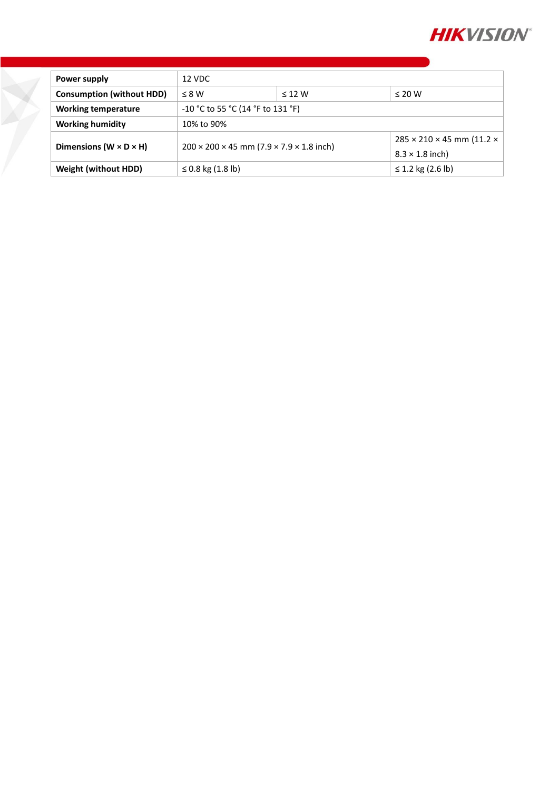

| Power supply                         | 12 VDC                                                             |             |                                       |
|--------------------------------------|--------------------------------------------------------------------|-------------|---------------------------------------|
| <b>Consumption (without HDD)</b>     | $\leq$ 8 W                                                         | $\leq$ 12 W | $\leq 20$ W                           |
| <b>Working temperature</b>           | $-10$ °C to 55 °C (14 °F to 131 °F)                                |             |                                       |
| <b>Working humidity</b>              | 10% to 90%                                                         |             |                                       |
| Dimensions ( $W \times D \times H$ ) | $200 \times 200 \times 45$ mm (7.9 $\times$ 7.9 $\times$ 1.8 inch) |             | $285 \times 210 \times 45$ mm (11.2 x |
|                                      |                                                                    |             | $8.3 \times 1.8$ inch)                |
| <b>Weight (without HDD)</b>          | ≤ 0.8 kg $(1.8 \text{ lb})$                                        |             | ≤ 1.2 kg (2.6 lb)                     |

X